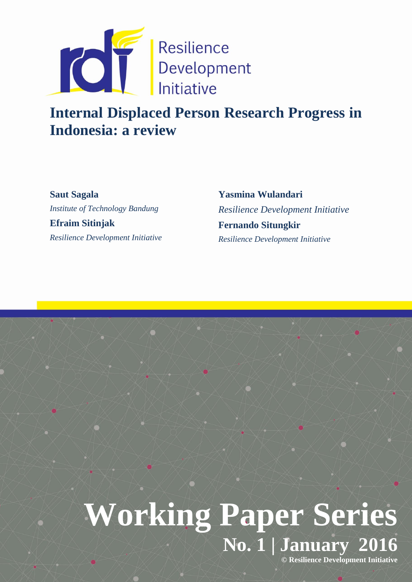

# **Internal Displaced Person Research Progress in Indonesia: a review**

**Saut Sagala** *Institute of Technology Bandung* **Efraim Sitinjak** *Resilience Development Initiative*

**Yasmina Wulandari** *Resilience Development Initiative* **Fernando Situngkir** *Resilience Development Initiative*

# **Working Paper Series**  $N$ <sup>0.</sup> 1 January **© Resilience Development Initiative**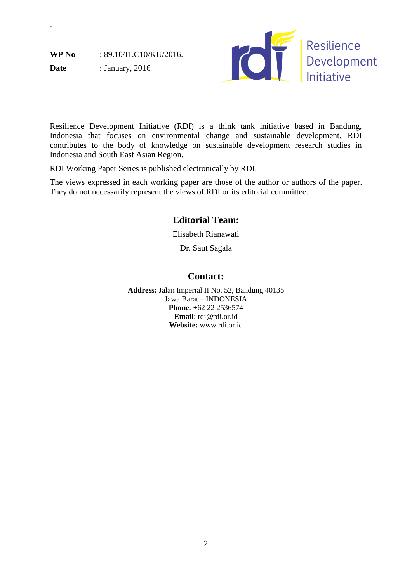**WP No** : 89.10/I1.C10/KU/2016.

**Date** : January, 2016

 $\ddot{\phantom{0}}$ 



Resilience Development Initiative (RDI) is a think tank initiative based in Bandung, Indonesia that focuses on environmental change and sustainable development. RDI contributes to the body of knowledge on sustainable development research studies in Indonesia and South East Asian Region.

RDI Working Paper Series is published electronically by RDI.

The views expressed in each working paper are those of the author or authors of the paper. They do not necessarily represent the views of RDI or its editorial committee.

# **Editorial Team:**

Elisabeth Rianawati

Dr. Saut Sagala

# **Contact:**

**Address:** Jalan Imperial II No. 52, Bandung 40135 Jawa Barat – INDONESIA **Phone**: +62 22 2536574 **Email**: rdi@rdi.or.id **Website:** www.rdi.or.id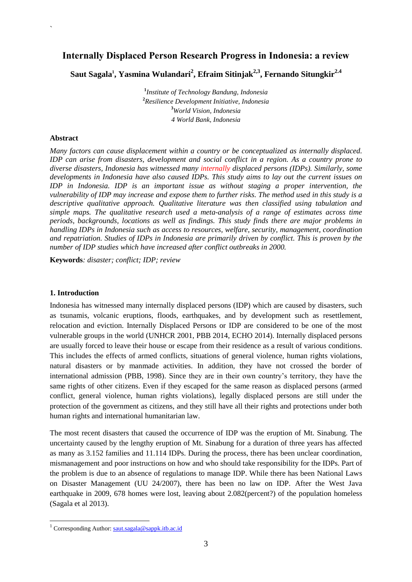## **Internally Displaced Person Research Progress in Indonesia: a review**

**Saut Sagala<sup>1</sup> , Yasmina Wulandari<sup>2</sup> , Efraim Sitinjak2,3, Fernando Situngkir2.4**

 *Institute of Technology Bandung, Indonesia Resilience Development Initiative, Indonesia World Vision, Indonesia 4 World Bank, Indonesia*

#### **Abstract**

`

*Many factors can cause displacement within a country or be conceptualized as internally displaced. IDP can arise from disasters, development and social conflict in a region. As a country prone to diverse disasters, Indonesia has witnessed many internally displaced persons (IDPs). Similarly, some developments in Indonesia have also caused IDPs. This study aims to lay out the current issues on IDP in Indonesia. IDP is an important issue as without staging a proper intervention, the vulnerability of IDP may increase and expose them to further risks. The method used in this study is a descriptive qualitative approach. Qualitative literature was then classified using tabulation and simple maps. The qualitative research used a meta-analysis of a range of estimates across time periods, backgrounds, locations as well as findings. This study finds there are major problems in handling IDPs in Indonesia such as access to resources, welfare, security, management, coordination and repatriation. Studies of IDPs in Indonesia are primarily driven by conflict. This is proven by the number of IDP studies which have increased after conflict outbreaks in 2000.*

**Keywords***: disaster; conflict; IDP; review*

#### **1. Introduction**

Indonesia has witnessed many internally displaced persons (IDP) which are caused by disasters, such as tsunamis, volcanic eruptions, floods, earthquakes, and by development such as resettlement, relocation and eviction. Internally Displaced Persons or IDP are considered to be one of the most vulnerable groups in the world (UNHCR 2001, PBB 2014, ECHO 2014). Internally displaced persons are usually forced to leave their house or escape from their residence as a result of various conditions. This includes the effects of armed conflicts, situations of general violence, human rights violations, natural disasters or by manmade activities. In addition, they have not crossed the border of international admission (PBB, 1998). Since they are in their own country's territory, they have the same rights of other citizens. Even if they escaped for the same reason as displaced persons (armed conflict, general violence, human rights violations), legally displaced persons are still under the protection of the government as citizens, and they still have all their rights and protections under both human rights and international humanitarian law.

The most recent disasters that caused the occurrence of IDP was the eruption of Mt. Sinabung. The uncertainty caused by the lengthy eruption of Mt. Sinabung for a duration of three years has affected as many as 3.152 families and 11.114 IDPs. During the process, there has been unclear coordination, mismanagement and poor instructions on how and who should take responsibility for the IDPs. Part of the problem is due to an absence of regulations to manage IDP. While there has been National Laws on Disaster Management (UU 24/2007), there has been no law on IDP. After the West Java earthquake in 2009, 678 homes were lost, leaving about 2.082(percent?) of the population homeless (Sagala et al 2013).

-

<sup>&</sup>lt;sup>1</sup> Corresponding Author[: saut.sagala@sappk.itb.ac.id](mailto:saut.sagala@sappk.itb.ac.id)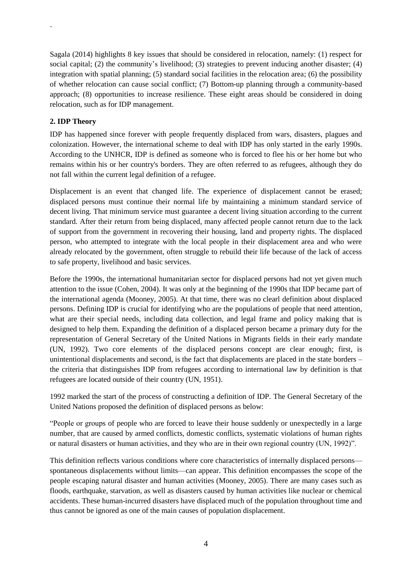Sagala (2014) highlights 8 key issues that should be considered in relocation, namely: (1) respect for social capital; (2) the community's livelihood; (3) strategies to prevent inducing another disaster; (4) integration with spatial planning; (5) standard social facilities in the relocation area; (6) the possibility of whether relocation can cause social conflict; (7) Bottom-up planning through a community-based approach; (8) opportunities to increase resilience. These eight areas should be considered in doing relocation, such as for IDP management.

### **2. IDP Theory**

`

IDP has happened since forever with people frequently displaced from wars, disasters, plagues and colonization. However, the international scheme to deal with IDP has only started in the early 1990s. According to the UNHCR, IDP is defined as someone who is forced to flee his or her home but who remains within his or her country's borders. They are often referred to as refugees, although they do not fall within the current legal definition of a refugee.

Displacement is an event that changed life. The experience of displacement cannot be erased; displaced persons must continue their normal life by maintaining a minimum standard service of decent living. That minimum service must guarantee a decent living situation according to the current standard. After their return from being displaced, many affected people cannot return due to the lack of support from the government in recovering their housing, land and property rights. The displaced person, who attempted to integrate with the local people in their displacement area and who were already relocated by the government, often struggle to rebuild their life because of the lack of access to safe property, livelihood and basic services.

Before the 1990s, the international humanitarian sector for displaced persons had not yet given much attention to the issue (Cohen, 2004). It was only at the beginning of the 1990s that IDP became part of the international agenda (Mooney, 2005). At that time, there was no clearl definition about displaced persons. Defining IDP is crucial for identifying who are the populations of people that need attention, what are their special needs, including data collection, and legal frame and policy making that is designed to help them. Expanding the definition of a displaced person became a primary duty for the representation of General Secretary of the United Nations in Migrants fields in their early mandate (UN, 1992). Two core elements of the displaced persons concept are clear enough; first, is unintentional displacements and second, is the fact that displacements are placed in the state borders – the criteria that distinguishes IDP from refugees according to international law by definition is that refugees are located outside of their country (UN, 1951).

1992 marked the start of the process of constructing a definition of IDP. The General Secretary of the United Nations proposed the definition of displaced persons as below:

―People or groups of people who are forced to leave their house suddenly or unexpectedly in a large number, that are caused by armed conflicts, domestic conflicts, systematic violations of human rights or natural disasters or human activities, and they who are in their own regional country (UN, 1992)".

This definition reflects various conditions where core characteristics of internally displaced persons spontaneous displacements without limits—can appear. This definition encompasses the scope of the people escaping natural disaster and human activities (Mooney, 2005). There are many cases such as floods, earthquake, starvation, as well as disasters caused by human activities like nuclear or chemical accidents. These human-incurred disasters have displaced much of the population throughout time and thus cannot be ignored as one of the main causes of population displacement.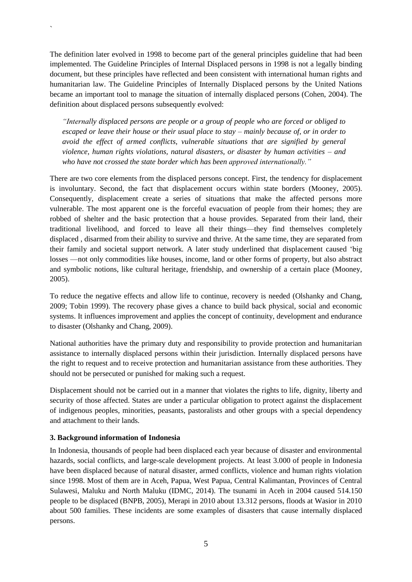The definition later evolved in 1998 to become part of the general principles guideline that had been implemented. The Guideline Principles of Internal Displaced persons in 1998 is not a legally binding document, but these principles have reflected and been consistent with international human rights and humanitarian law. The Guideline Principles of Internally Displaced persons by the United Nations became an important tool to manage the situation of internally displaced persons (Cohen, 2004). The definition about displaced persons subsequently evolved:

*"Internally displaced persons are people or a group of people who are forced or obliged to escaped or leave their house or their usual place to stay – mainly because of, or in order to avoid the effect of armed conflicts, vulnerable situations that are signified by general violence, human rights violations, natural disasters, or disaster by human activities – and who have not crossed the state border which has been approved internationally."*

There are two core elements from the displaced persons concept. First, the tendency for displacement is involuntary. Second, the fact that displacement occurs within state borders (Mooney, 2005). Consequently, displacement create a series of situations that make the affected persons more vulnerable. The most apparent one is the forceful evacuation of people from their homes; they are robbed of shelter and the basic protection that a house provides. Separated from their land, their traditional livelihood, and forced to leave all their things—they find themselves completely displaced , disarmed from their ability to survive and thrive. At the same time, they are separated from their family and societal support network. A later study underlined that displacement caused 'big losses —not only commodities like houses, income, land or other forms of property, but also abstract and symbolic notions, like cultural heritage, friendship, and ownership of a certain place (Mooney, 2005).

To reduce the negative effects and allow life to continue, recovery is needed (Olshanky and Chang, 2009; Tobin 1999). The recovery phase gives a chance to build back physical, social and economic systems. It influences improvement and applies the concept of continuity, development and endurance to disaster (Olshanky and Chang, 2009).

National authorities have the primary duty and responsibility to provide protection and humanitarian assistance to internally displaced persons within their jurisdiction. Internally displaced persons have the right to request and to receive protection and humanitarian assistance from these authorities. They should not be persecuted or punished for making such a request.

Displacement should not be carried out in a manner that violates the rights to life, dignity, liberty and security of those affected. States are under a particular obligation to protect against the displacement of indigenous peoples, minorities, peasants, pastoralists and other groups with a special dependency and attachment to their lands.

#### **3. Background information of Indonesia**

`

In Indonesia, thousands of people had been displaced each year because of disaster and environmental hazards, social conflicts, and large-scale development projects. At least 3.000 of people in Indonesia have been displaced because of natural disaster, armed conflicts, violence and human rights violation since 1998. Most of them are in Aceh, Papua, West Papua, Central Kalimantan, Provinces of Central Sulawesi, Maluku and North Maluku (IDMC, 2014). The tsunami in Aceh in 2004 caused 514.150 people to be displaced (BNPB, 2005), Merapi in 2010 about 13.312 persons, floods at Wasior in 2010 about 500 families. These incidents are some examples of disasters that cause internally displaced persons.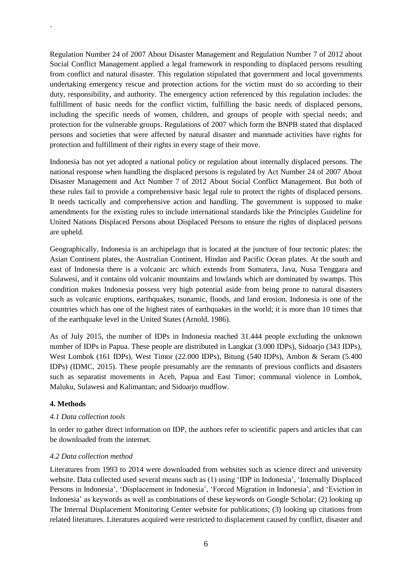Regulation Number 24 of 2007 About Disaster Management and Regulation Number 7 of 2012 about Social Conflict Management applied a legal framework in responding to displaced persons resulting from conflict and natural disaster. This regulation stipulated that government and local governments undertaking emergency rescue and protection actions for the victim must do so according to their duty, responsibility, and authority. The emergency action referenced by this regulation includes: the fulfillment of basic needs for the conflict victim, fulfilling the basic needs of displaced persons, including the specific needs of women, children, and groups of people with special needs; and protection for the vulnerable groups. Regulations of 2007 which form the BNPB stated that displaced persons and societies that were affected by natural disaster and manmade activities have rights for protection and fulfillment of their rights in every stage of their move.

Indonesia has not yet adopted a national policy or regulation about internally displaced persons. The national response when handling the displaced persons is regulated by Act Number 24 of 2007 About Disaster Management and Act Number 7 of 2012 About Social Conflict Management. But both of these rules fail to provide a comprehensive basic legal rule to protect the rights of displaced persons. It needs tactically and comprehensive action and handling. The government is supposed to make amendments for the existing rules to include international standards like the Principles Guideline for United Nations Displaced Persons about Displaced Persons to ensure the rights of displaced persons are upheld.

Geographically, Indonesia is an archipelago that is located at the juncture of four tectonic plates: the Asian Continent plates, the Australian Continent, Hindan and Pacific Ocean plates. At the south and east of Indonesia there is a volcanic arc which extends from Sumatera, Java, Nusa Tenggara and Sulawesi, and it contains old volcanic mountains and lowlands which are dominated by swamps. This condition makes Indonesia possess very high potential aside from being prone to natural disasters such as volcanic eruptions, earthquakes, tsunamic, floods, and land erosion. Indonesia is one of the countries which has one of the highest rates of earthquakes in the world; it is more than 10 times that of the earthquake level in the United States (Arnold, 1986).

As of July 2015, the number of IDPs in Indonesia reached 31.444 people excluding the unknown number of IDPs in Papua. These people are distributed in Langkat (3.000 IDPs), Sidoarjo (343 IDPs), West Lombok (161 IDPs), West Timor (22.000 IDPs), Bitung (540 IDPs), Ambon & Seram (5.400 IDPs) (IDMC, 2015). These people presumably are the remnants of previous conflicts and disasters such as separatist movements in Aceh, Papua and East Timor; communal violence in Lombok, Maluku, Sulawesi and Kalimantan; and Sidoarjo mudflow.

#### **4. Methods**

`

#### *4.1 Data collection tools*

In order to gather direct information on IDP, the authors refer to scientific papers and articles that can be downloaded from the internet.

#### *4.2 Data collection method*

Literatures from 1993 to 2014 were downloaded from websites such as science direct and university website. Data collected used several means such as (1) using 'IDP in Indonesia', 'Internally Displaced Persons in Indonesia', 'Displacement in Indonesia', 'Forced Migration in Indonesia', and 'Eviction in Indonesia' as keywords as well as combinations of these keywords on Google Scholar; (2) looking up The Internal Displacement Monitoring Center website for publications; (3) looking up citations from related literatures. Literatures acquired were restricted to displacement caused by conflict, disaster and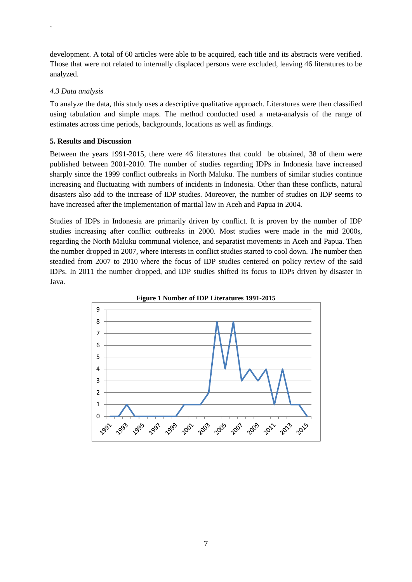development. A total of 60 articles were able to be acquired, each title and its abstracts were verified. Those that were not related to internally displaced persons were excluded, leaving 46 literatures to be analyzed.

#### *4.3 Data analysis*

`

To analyze the data, this study uses a descriptive qualitative approach. Literatures were then classified using tabulation and simple maps. The method conducted used a meta-analysis of the range of estimates across time periods, backgrounds, locations as well as findings.

#### **5. Results and Discussion**

Between the years 1991-2015, there were 46 literatures that could be obtained, 38 of them were published between 2001-2010. The number of studies regarding IDPs in Indonesia have increased sharply since the 1999 conflict outbreaks in North Maluku. The numbers of similar studies continue increasing and fluctuating with numbers of incidents in Indonesia. Other than these conflicts, natural disasters also add to the increase of IDP studies. Moreover, the number of studies on IDP seems to have increased after the implementation of martial law in Aceh and Papua in 2004.

Studies of IDPs in Indonesia are primarily driven by conflict. It is proven by the number of IDP studies increasing after conflict outbreaks in 2000. Most studies were made in the mid 2000s, regarding the North Maluku communal violence, and separatist movements in Aceh and Papua. Then the number dropped in 2007, where interests in conflict studies started to cool down. The number then steadied from 2007 to 2010 where the focus of IDP studies centered on policy review of the said IDPs. In 2011 the number dropped, and IDP studies shifted its focus to IDPs driven by disaster in Java.



**Figure 1 Number of IDP Literatures 1991-2015**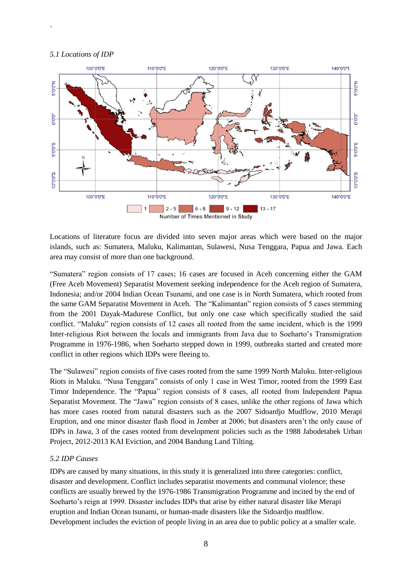#### *5.1 Locations of IDP*

`



Locations of literature focus are divided into seven major areas which were based on the major islands, such as: Sumatera, Maluku, Kalimantan, Sulawesi, Nusa Tenggara, Papua and Jawa. Each area may consist of more than one background.

―Sumatera‖ region consists of 17 cases; 16 cases are focused in Aceh concerning either the GAM (Free Aceh Movement) Separatist Movement seeking independence for the Aceh region of Sumatera, Indonesia; and/or 2004 Indian Ocean Tsunami, and one case is in North Sumatera, which rooted from the same GAM Separatist Movement in Aceh. The "Kalimantan" region consists of 5 cases stemming from the 2001 Dayak-Madurese Conflict, but only one case which specifically studied the said conflict. "Maluku" region consists of 12 cases all rooted from the same incident, which is the 1999 Inter-religious Riot between the locals and immigrants from Java due to Soeharto's Transmigration Programme in 1976-1986, when Soeharto stepped down in 1999, outbreaks started and created more conflict in other regions which IDPs were fleeing to.

The "Sulawesi" region consists of five cases rooted from the same 1999 North Maluku. Inter-religious Riots in Maluku. "Nusa Tenggara" consists of only 1 case in West Timor, rooted from the 1999 East Timor Independence. The "Papua" region consists of 8 cases, all rooted from Independent Papua Separatist Movement. The "Jawa" region consists of 8 cases, unlike the other regions of Jawa which has more cases rooted from natural disasters such as the 2007 Sidoardjo Mudflow, 2010 Merapi Eruption, and one minor disaster flash flood in Jember at 2006; but disasters aren't the only cause of IDPs in Jawa, 3 of the cases rooted from development policies such as the 1988 Jabodetabek Urban Project, 2012-2013 KAI Eviction, and 2004 Bandung Land Tilting.

#### *5.2 IDP Causes*

IDPs are caused by many situations, in this study it is generalized into three categories: conflict, disaster and development. Conflict includes separatist movements and communal violence; these conflicts are usually brewed by the 1976-1986 Transmigration Programme and incited by the end of Soeharto's reign at 1999. Disaster includes IDPs that arise by either natural disaster like Merapi eruption and Indian Ocean tsunami, or human-made disasters like the Sidoardjo mudflow. Development includes the eviction of people living in an area due to public policy at a smaller scale.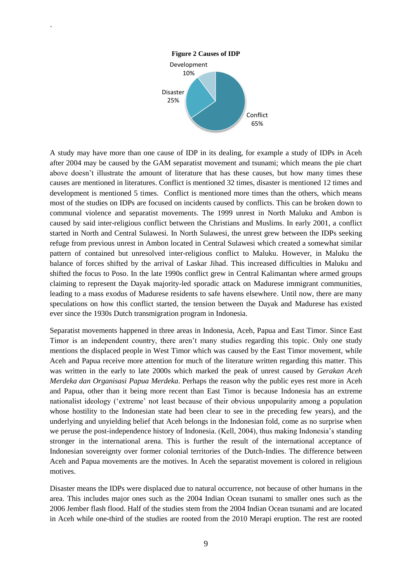

`

A study may have more than one cause of IDP in its dealing, for example a study of IDPs in Aceh after 2004 may be caused by the GAM separatist movement and tsunami; which means the pie chart above doesn't illustrate the amount of literature that has these causes, but how many times these causes are mentioned in literatures. Conflict is mentioned 32 times, disaster is mentioned 12 times and development is mentioned 5 times. Conflict is mentioned more times than the others, which means most of the studies on IDPs are focused on incidents caused by conflicts. This can be broken down to communal violence and separatist movements. The 1999 unrest in North Maluku and Ambon is caused by said inter-religious conflict between the Christians and Muslims. In early 2001, a conflict started in North and Central Sulawesi. In North Sulawesi, the unrest grew between the IDPs seeking refuge from previous unrest in Ambon located in Central Sulawesi which created a somewhat similar pattern of contained but unresolved inter-religious conflict to Maluku. However, in Maluku the balance of forces shifted by the arrival of Laskar Jihad. This increased difficulties in Maluku and shifted the focus to Poso. In the late 1990s conflict grew in Central Kalimantan where armed groups claiming to represent the Dayak majority-led sporadic attack on Madurese immigrant communities, leading to a mass exodus of Madurese residents to safe havens elsewhere. Until now, there are many speculations on how this conflict started, the tension between the Dayak and Madurese has existed ever since the 1930s Dutch transmigration program in Indonesia.

Separatist movements happened in three areas in Indonesia, Aceh, Papua and East Timor. Since East Timor is an independent country, there aren't many studies regarding this topic. Only one study mentions the displaced people in West Timor which was caused by the East Timor movement, while Aceh and Papua receive more attention for much of the literature written regarding this matter. This was written in the early to late 2000s which marked the peak of unrest caused by *Gerakan Aceh Merdeka dan Organisasi Papua Merdeka*. Perhaps the reason why the public eyes rest more in Aceh and Papua, other than it being more recent than East Timor is because Indonesia has an extreme nationalist ideology (‗extreme' not least because of their obvious unpopularity among a population whose hostility to the Indonesian state had been clear to see in the preceding few years), and the underlying and unyielding belief that Aceh belongs in the Indonesian fold, come as no surprise when we peruse the post-independence history of Indonesia. (Kell, 2004), thus making Indonesia's standing stronger in the international arena. This is further the result of the international acceptance of Indonesian sovereignty over former colonial territories of the Dutch-Indies. The difference between Aceh and Papua movements are the motives. In Aceh the separatist movement is colored in religious motives.

Disaster means the IDPs were displaced due to natural occurrence, not because of other humans in the area. This includes major ones such as the 2004 Indian Ocean tsunami to smaller ones such as the 2006 Jember flash flood. Half of the studies stem from the 2004 Indian Ocean tsunami and are located in Aceh while one-third of the studies are rooted from the 2010 Merapi eruption. The rest are rooted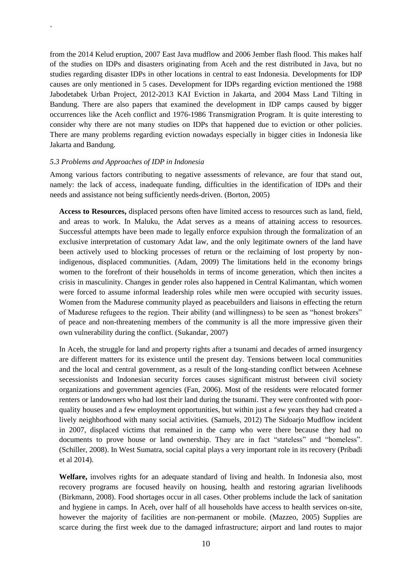from the 2014 Kelud eruption, 2007 East Java mudflow and 2006 Jember flash flood. This makes half of the studies on IDPs and disasters originating from Aceh and the rest distributed in Java, but no studies regarding disaster IDPs in other locations in central to east Indonesia. Developments for IDP causes are only mentioned in 5 cases. Development for IDPs regarding eviction mentioned the 1988 Jabodetabek Urban Project, 2012-2013 KAI Eviction in Jakarta, and 2004 Mass Land Tilting in Bandung. There are also papers that examined the development in IDP camps caused by bigger occurrences like the Aceh conflict and 1976-1986 Transmigration Program. It is quite interesting to consider why there are not many studies on IDPs that happened due to eviction or other policies. There are many problems regarding eviction nowadays especially in bigger cities in Indonesia like Jakarta and Bandung.

#### *5.3 Problems and Approaches of IDP in Indonesia*

`

Among various factors contributing to negative assessments of relevance, are four that stand out, namely: the lack of access, inadequate funding, difficulties in the identification of IDPs and their needs and assistance not being sufficiently needs-driven. (Borton, 2005)

**Access to Resources,** displaced persons often have limited access to resources such as land, field, and areas to work. In Maluku, the Adat serves as a means of attaining access to resources. Successful attempts have been made to legally enforce expulsion through the formalization of an exclusive interpretation of customary Adat law, and the only legitimate owners of the land have been actively used to blocking processes of return or the reclaiming of lost property by nonindigenous, displaced communities. (Adam, 2009) The limitations held in the economy brings women to the forefront of their households in terms of income generation, which then incites a crisis in masculinity. Changes in gender roles also happened in Central Kalimantan, which women were forced to assume informal leadership roles while men were occupied with security issues. Women from the Madurese community played as peacebuilders and liaisons in effecting the return of Madurese refugees to the region. Their ability (and willingness) to be seen as "honest brokers" of peace and non-threatening members of the community is all the more impressive given their own vulnerability during the conflict. (Sukandar, 2007)

In Aceh, the struggle for land and property rights after a tsunami and decades of armed insurgency are different matters for its existence until the present day. Tensions between local communities and the local and central government, as a result of the long-standing conflict between Acehnese secessionists and Indonesian security forces causes significant mistrust between civil society organizations and government agencies (Fan, 2006). Most of the residents were relocated former renters or landowners who had lost their land during the tsunami. They were confronted with poorquality houses and a few employment opportunities, but within just a few years they had created a lively neighborhood with many social activities. (Samuels, 2012) The Sidoarjo Mudflow incident in 2007, displaced victims that remained in the camp who were there because they had no documents to prove house or land ownership. They are in fact "stateless" and "homeless". (Schiller, 2008). In West Sumatra, social capital plays a very important role in its recovery (Pribadi et al 2014).

**Welfare,** involves rights for an adequate standard of living and health. In Indonesia also, most recovery programs are focused heavily on housing, health and restoring agrarian livelihoods (Birkmann, 2008). Food shortages occur in all cases. Other problems include the lack of sanitation and hygiene in camps. In Aceh, over half of all households have access to health services on-site, however the majority of facilities are non-permanent or mobile. (Mazzeo, 2005) Supplies are scarce during the first week due to the damaged infrastructure; airport and land routes to major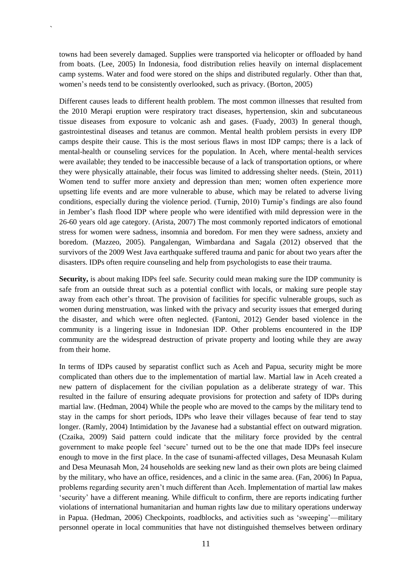towns had been severely damaged. Supplies were transported via helicopter or offloaded by hand from boats. (Lee, 2005) In Indonesia, food distribution relies heavily on internal displacement camp systems. Water and food were stored on the ships and distributed regularly. Other than that, women's needs tend to be consistently overlooked, such as privacy. (Borton, 2005)

`

Different causes leads to different health problem. The most common illnesses that resulted from the 2010 Merapi eruption were respiratory tract diseases, hypertension, skin and subcutaneous tissue diseases from exposure to volcanic ash and gases. (Fuady, 2003) In general though, gastrointestinal diseases and tetanus are common. Mental health problem persists in every IDP camps despite their cause. This is the most serious flaws in most IDP camps; there is a lack of mental-health or counseling services for the population. In Aceh, where mental-health services were available; they tended to be inaccessible because of a lack of transportation options, or where they were physically attainable, their focus was limited to addressing shelter needs. (Stein, 2011) Women tend to suffer more anxiety and depression than men; women often experience more upsetting life events and are more vulnerable to abuse, which may be related to adverse living conditions, especially during the violence period. (Turnip, 2010) Turnip's findings are also found in Jember's flash flood IDP where people who were identified with mild depression were in the 26-60 years old age category. (Arista, 2007) The most commonly reported indicators of emotional stress for women were sadness, insomnia and boredom. For men they were sadness, anxiety and boredom. (Mazzeo, 2005). Pangalengan, Wimbardana and Sagala (2012) observed that the survivors of the 2009 West Java earthquake suffered trauma and panic for about two years after the disasters. IDPs often require counseling and help from psychologists to ease their trauma.

**Security,** is about making IDPs feel safe. Security could mean making sure the IDP community is safe from an outside threat such as a potential conflict with locals, or making sure people stay away from each other's throat. The provision of facilities for specific vulnerable groups, such as women during menstruation, was linked with the privacy and security issues that emerged during the disaster, and which were often neglected. (Fantoni, 2012) Gender based violence in the community is a lingering issue in Indonesian IDP. Other problems encountered in the IDP community are the widespread destruction of private property and looting while they are away from their home.

In terms of IDPs caused by separatist conflict such as Aceh and Papua, security might be more complicated than others due to the implementation of martial law. Martial law in Aceh created a new pattern of displacement for the civilian population as a deliberate strategy of war. This resulted in the failure of ensuring adequate provisions for protection and safety of IDPs during martial law. (Hedman, 2004) While the people who are moved to the camps by the military tend to stay in the camps for short periods, IDPs who leave their villages because of fear tend to stay longer. (Ramly, 2004) Intimidation by the Javanese had a substantial effect on outward migration. (Czaika, 2009) Said pattern could indicate that the military force provided by the central government to make people feel ‗secure' turned out to be the one that made IDPs feel insecure enough to move in the first place. In the case of tsunami-affected villages, Desa Meunasah Kulam and Desa Meunasah Mon, 24 households are seeking new land as their own plots are being claimed by the military, who have an office, residences, and a clinic in the same area. (Fan, 2006) In Papua, problems regarding security aren't much different than Aceh. Implementation of martial law makes ‗security' have a different meaning. While difficult to confirm, there are reports indicating further violations of international humanitarian and human rights law due to military operations underway in Papua. (Hedman, 2006) Checkpoints, roadblocks, and activities such as 'sweeping'—military personnel operate in local communities that have not distinguished themselves between ordinary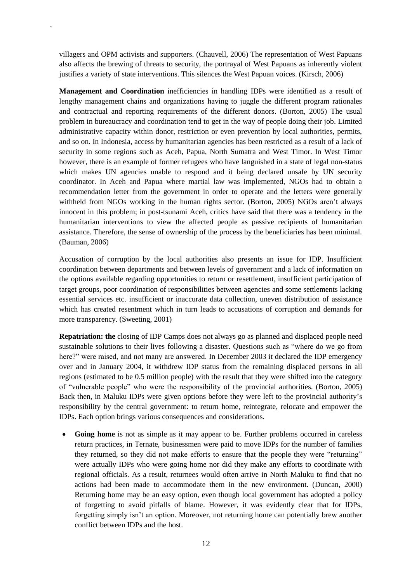villagers and OPM activists and supporters. (Chauvell, 2006) The representation of West Papuans also affects the brewing of threats to security, the portrayal of West Papuans as inherently violent justifies a variety of state interventions. This silences the West Papuan voices. (Kirsch, 2006)

`

**Management and Coordination** inefficiencies in handling IDPs were identified as a result of lengthy management chains and organizations having to juggle the different program rationales and contractual and reporting requirements of the different donors. (Borton, 2005) The usual problem in bureaucracy and coordination tend to get in the way of people doing their job. Limited administrative capacity within donor, restriction or even prevention by local authorities, permits, and so on. In Indonesia, access by humanitarian agencies has been restricted as a result of a lack of security in some regions such as Aceh, Papua, North Sumatra and West Timor. In West Timor however, there is an example of former refugees who have languished in a state of legal non-status which makes UN agencies unable to respond and it being declared unsafe by UN security coordinator. In Aceh and Papua where martial law was implemented, NGOs had to obtain a recommendation letter from the government in order to operate and the letters were generally withheld from NGOs working in the human rights sector. (Borton, 2005) NGOs aren't always innocent in this problem; in post-tsunami Aceh, critics have said that there was a tendency in the humanitarian interventions to view the affected people as passive recipients of humanitarian assistance. Therefore, the sense of ownership of the process by the beneficiaries has been minimal. (Bauman, 2006)

Accusation of corruption by the local authorities also presents an issue for IDP. Insufficient coordination between departments and between levels of government and a lack of information on the options available regarding opportunities to return or resettlement, insufficient participation of target groups, poor coordination of responsibilities between agencies and some settlements lacking essential services etc. insufficient or inaccurate data collection, uneven distribution of assistance which has created resentment which in turn leads to accusations of corruption and demands for more transparency. (Sweeting, 2001)

**Repatriation: the** closing of IDP Camps does not always go as planned and displaced people need sustainable solutions to their lives following a disaster. Questions such as "where do we go from here?" were raised, and not many are answered. In December 2003 it declared the IDP emergency over and in January 2004, it withdrew IDP status from the remaining displaced persons in all regions (estimated to be 0.5 million people) with the result that they were shifted into the category of "vulnerable people" who were the responsibility of the provincial authorities. (Borton, 2005) Back then, in Maluku IDPs were given options before they were left to the provincial authority's responsibility by the central government: to return home, reintegrate, relocate and empower the IDPs. Each option brings various consequences and considerations.

 **Going home** is not as simple as it may appear to be. Further problems occurred in careless return practices, in Ternate, businessmen were paid to move IDPs for the number of families they returned, so they did not make efforts to ensure that the people they were "returning" were actually IDPs who were going home nor did they make any efforts to coordinate with regional officials. As a result, returnees would often arrive in North Maluku to find that no actions had been made to accommodate them in the new environment. (Duncan, 2000) Returning home may be an easy option, even though local government has adopted a policy of forgetting to avoid pitfalls of blame. However, it was evidently clear that for IDPs, forgetting simply isn't an option. Moreover, not returning home can potentially brew another conflict between IDPs and the host.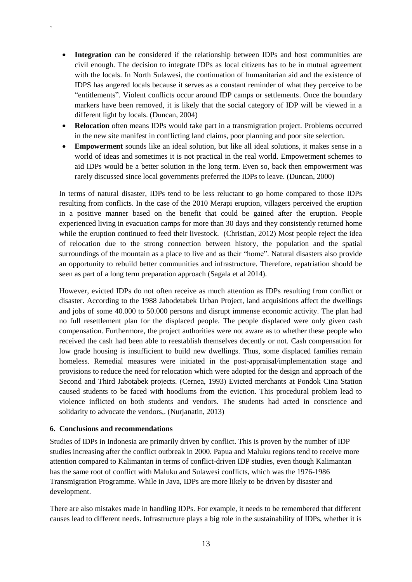- **Integration** can be considered if the relationship between IDPs and host communities are civil enough. The decision to integrate IDPs as local citizens has to be in mutual agreement with the locals. In North Sulawesi, the continuation of humanitarian aid and the existence of IDPS has angered locals because it serves as a constant reminder of what they perceive to be ―entitlements‖. Violent conflicts occur around IDP camps or settlements. Once the boundary markers have been removed, it is likely that the social category of IDP will be viewed in a different light by locals. (Duncan, 2004)
- **Relocation** often means IDPs would take part in a transmigration project. Problems occurred in the new site manifest in conflicting land claims, poor planning and poor site selection.
- **Empowerment** sounds like an ideal solution, but like all ideal solutions, it makes sense in a world of ideas and sometimes it is not practical in the real world. Empowerment schemes to aid IDPs would be a better solution in the long term. Even so, back then empowerment was rarely discussed since local governments preferred the IDPs to leave. (Duncan, 2000)

In terms of natural disaster, IDPs tend to be less reluctant to go home compared to those IDPs resulting from conflicts. In the case of the 2010 Merapi eruption, villagers perceived the eruption in a positive manner based on the benefit that could be gained after the eruption. People experienced living in evacuation camps for more than 30 days and they consistently returned home while the eruption continued to feed their livestock. (Christian, 2012) Most people reject the idea of relocation due to the strong connection between history, the population and the spatial surroundings of the mountain as a place to live and as their "home". Natural disasters also provide an opportunity to rebuild better communities and infrastructure. Therefore, repatriation should be seen as part of a long term preparation approach (Sagala et al 2014).

However, evicted IDPs do not often receive as much attention as IDPs resulting from conflict or disaster. According to the 1988 Jabodetabek Urban Project, land acquisitions affect the dwellings and jobs of some 40.000 to 50.000 persons and disrupt immense economic activity. The plan had no full resettlement plan for the displaced people. The people displaced were only given cash compensation. Furthermore, the project authorities were not aware as to whether these people who received the cash had been able to reestablish themselves decently or not. Cash compensation for low grade housing is insufficient to build new dwellings. Thus, some displaced families remain homeless. Remedial measures were initiated in the post-appraisal/implementation stage and provisions to reduce the need for relocation which were adopted for the design and approach of the Second and Third Jabotabek projects. (Cernea, 1993) Evicted merchants at Pondok Cina Station caused students to be faced with hoodlums from the eviction. This procedural problem lead to violence inflicted on both students and vendors. The students had acted in conscience and solidarity to advocate the vendors,. (Nurjanatin, 2013)

#### **6. Conclusions and recommendations**

`

Studies of IDPs in Indonesia are primarily driven by conflict. This is proven by the number of IDP studies increasing after the conflict outbreak in 2000. Papua and Maluku regions tend to receive more attention compared to Kalimantan in terms of conflict-driven IDP studies, even though Kalimantan has the same root of conflict with Maluku and Sulawesi conflicts, which was the 1976-1986 Transmigration Programme. While in Java, IDPs are more likely to be driven by disaster and development.

There are also mistakes made in handling IDPs. For example, it needs to be remembered that different causes lead to different needs. Infrastructure plays a big role in the sustainability of IDPs, whether it is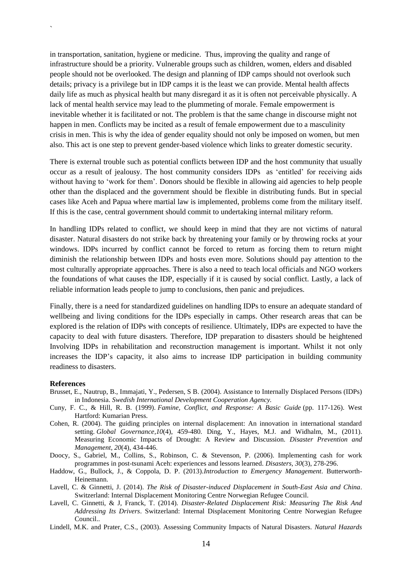in transportation, sanitation, hygiene or medicine. Thus, improving the quality and range of infrastructure should be a priority. Vulnerable groups such as children, women, elders and disabled people should not be overlooked. The design and planning of IDP camps should not overlook such details; privacy is a privilege but in IDP camps it is the least we can provide. Mental health affects daily life as much as physical health but many disregard it as it is often not perceivable physically. A lack of mental health service may lead to the plummeting of morale. Female empowerment is inevitable whether it is facilitated or not. The problem is that the same change in discourse might not happen in men. Conflicts may be incited as a result of female empowerment due to a masculinity crisis in men. This is why the idea of gender equality should not only be imposed on women, but men also. This act is one step to prevent gender-based violence which links to greater domestic security.

There is external trouble such as potential conflicts between IDP and the host community that usually occur as a result of jealousy. The host community considers IDPs as ‗entitled' for receiving aids without having to 'work for them'. Donors should be flexible in allowing aid agencies to help people other than the displaced and the government should be flexible in distributing funds. But in special cases like Aceh and Papua where martial law is implemented, problems come from the military itself. If this is the case, central government should commit to undertaking internal military reform.

In handling IDPs related to conflict, we should keep in mind that they are not victims of natural disaster. Natural disasters do not strike back by threatening your family or by throwing rocks at your windows. IDPs incurred by conflict cannot be forced to return as forcing them to return might diminish the relationship between IDPs and hosts even more. Solutions should pay attention to the most culturally appropriate approaches. There is also a need to teach local officials and NGO workers the foundations of what causes the IDP, especially if it is caused by social conflict. Lastly, a lack of reliable information leads people to jump to conclusions, then panic and prejudices.

Finally, there is a need for standardized guidelines on handling IDPs to ensure an adequate standard of wellbeing and living conditions for the IDPs especially in camps. Other research areas that can be explored is the relation of IDPs with concepts of resilience. Ultimately, IDPs are expected to have the capacity to deal with future disasters. Therefore, IDP preparation to disasters should be heightened Involving IDPs in rehabilitation and reconstruction management is important. Whilst it not only increases the IDP's capacity, it also aims to increase IDP participation in building community readiness to disasters.

#### **References**

 $\ddot{\phantom{0}}$ 

- Brusset, E., Nautrup, B., Immajati, Y., Pedersen, S B. (2004). Assistance to Internally Displaced Persons (IDPs) in Indonesia. *Swedish International Development Cooperation Agency.*
- Cuny, F. C., & Hill, R. B. (1999). *Famine, Conflict, and Response: A Basic Guide* (pp. 117-126). West Hartford: Kumarian Press.
- Cohen, R. (2004). The guiding principles on internal displacement: An innovation in international standard setting. *Global Governance*,*10*(4), 459-480. Ding, Y., Hayes, M.J. and Widhalm, M., (2011). Measuring Economic Impacts of Drought: A Review and Discussion. *Disaster Prevention and Management, 20*(4), 434-446.
- Doocy, S., Gabriel, M., Collins, S., Robinson, C. & Stevenson, P. (2006). Implementing cash for work programmes in post-tsunami Aceh: experiences and lessons learned. *Disasters, 30*(3), 278-296.
- Haddow, G., Bullock, J., & Coppola, D. P. (2013).*Introduction to Emergency Management*. Butterworth-Heinemann.
- Lavell, C. & Ginnetti, J. (2014). *The Risk of Disaster-induced Displacement in South-East Asia and China*. Switzerland: Internal Displacement Monitoring Centre Norwegian Refugee Council.
- Lavell, C. Ginnetti, & J, Franck, T. (2014). *Disaster-Related Displacement Risk: Measuring The Risk And Addressing Its Drivers*. Switzerland: Internal Displacement Monitoring Centre Norwegian Refugee Council..
- Lindell, M.K. and Prater, C.S., (2003). Assessing Community Impacts of Natural Disasters. *Natural Hazards*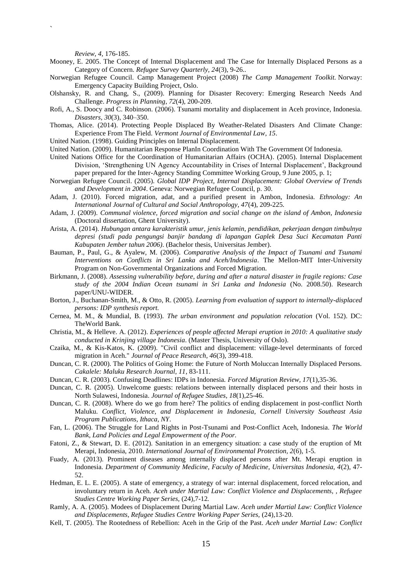*Review, 4*, 176-185.

`

- Mooney, E. 2005. The Concept of Internal Displacement and The Case for Internally Displaced Persons as a Category of Concern. *Refugee Survey Quarterly, 24*(3), 9-26..
- Norwegian Refugee Council. Camp Management Project (2008) *The Camp Management Toolkit.* Norway: Emergency Capacity Building Project, Oslo.
- Olshansky, R. and Chang, S., (2009). Planning for Disaster Recovery: Emerging Research Needs And Challenge. *Progress in Planning*, *72*(4), 200-209.
- Rofi, A., S. Doocy and C. Robinson. (2006). Tsunami mortality and displacement in Aceh province, Indonesia. *Disasters, 30*(3), 340–350.
- Thomas, Alice. (2014). Protecting People Displaced By Weather-Related Disasters And Climate Change: Experience From The Field. *Vermont Journal of Environmental Law, 15*.
- United Nation. (1998). Guiding Principles on Internal Displacement.
- United Nation. (2009). Humanitarian Response PlanIn Coordination With The Government Of Indonesia.
- United Nations Office for the Coordination of Humanitarian Affairs (OCHA). (2005). Internal Displacement Division, 'Strengthening UN Agency Accountability in Crises of Internal Displacement', Background paper prepared for the Inter-Agency Standing Committee Working Group, 9 June 2005, p. 1;
- Norwegian Refugee Council. (2005). *Global IDP Project, Internal Displacement: Global Overview of Trends and Development in 2004*. Geneva: Norwegian Refugee Council, p. 30.
- Adam, J. (2010). Forced migration, adat, and a purified present in Ambon, Indonesia. *Ethnology: An International Journal of Cultural and Social Anthropology, 47*(4), 209-225*.*
- Adam, J. (2009). *Communal violence, forced migration and social change on the island of Ambon, Indonesia* (Doctoral dissertation, Ghent University).
- Arista, A. (2014). *Hubungan antara karakteristik umur, jenis kelamin, pendidikan, pekerjaan dengan timbulnya depresi (studi pada pengungsi banjir bandang di lapangan Gaplek Desa Suci Kecamatan Panti Kabupaten Jember tahun 2006)*. (Bachelor thesis, Universitas Jember).
- Bauman, P., Paul, G., & Ayalew, M. (2006). *Comparative Analysis of the Impact of Tsunami and Tsunami Interventions on Conflicts in Sri Lanka and Aceh/Indonesia*. The Mellon-MIT Inter-University Program on Non-Governmental Organizations and Forced Migration.
- Birkmann, J. (2008). *Assessing vulnerability before, during and after a natural disaster in fragile regions: Case study of the 2004 Indian Ocean tsunami in Sri Lanka and Indonesia* (No. 2008.50). Research paper/UNU-WIDER.
- Borton, J., Buchanan-Smith, M., & Otto, R. (2005). *Learning from evaluation of support to internally-displaced persons: IDP synthesis report.*
- Cernea, M. M., & Mundial, B. (1993). *The urban environment and population relocation* (Vol. 152). DC: TheWorld Bank.
- Christia, M., & Helleve. A. (2012). *Experiences of people affected Merapi eruption in 2010: A qualitative study conducted in Krinjing village Indonesia*. (Master Thesis, University of Oslo).
- Czaika, M., & Kis-Katos, K. (2009). "Civil conflict and displacement: village-level determinants of forced migration in Aceh." *Journal of Peace Research, 46*(3)*,* 399-418.
- Duncan, C. R. (2000). The Politics of Going Home: the Future of North Moluccan Internally Displaced Persons. *Cakalele: Maluku Research Journal, 11*, 83-111.
- Duncan, C. R. (2003). Confusing Deadlines: IDPs in Indonesia. *Forced Migration Review, 17*(1),35-36.
- Duncan, C. R. (2005). Unwelcome guests: relations between internally displaced persons and their hosts in North Sulawesi, Indonesia. *Journal of Refugee Studies*, *18*(1),25-46.
- Duncan, C. R. (2008). Where do we go from here? The politics of ending displacement in post-conflict North Maluku. *Conflict, Violence, and Displacement in Indonesia, Cornell University Southeast Asia Program Publications, Ithaca, NY*.
- Fan, L. (2006). The Struggle for Land Rights in Post-Tsunami and Post-Conflict Aceh, Indonesia. *The World Bank, Land Policies and Legal Empowerment of the Poor.*
- Fatoni, Z., & Stewart, D. E. (2012). Sanitation in an emergency situation: a case study of the eruption of Mt Merapi, Indonesia, 2010. *International Journal of Environmental Protection, 2*(6), 1-5*.*
- Fuady, A. (2013). Prominent diseases among internally displaced persons after Mt. Merapi eruption in Indonesia. *Department of Community Medicine, Faculty of Medicine, Universitas Indonesia, 4*(2), 47- 52.
- Hedman, E. L. E. (2005). A state of emergency, a strategy of war: internal displacement, forced relocation, and involuntary return in Aceh. *Aceh under Martial Law: Conflict Violence and Displacements, , Refugee Studies Centre Working Paper Series,* (24),7-12*.*
- Ramly, A. A. (2005). Modees of Displacement During Martial Law. *Aceh under Martial Law: Conflict Violence and Displacements, Refugee Studies Centre Working Paper Series,* (24),13-20.
- Kell, T. (2005). The Rootedness of Rebellion: Aceh in the Grip of the Past. *Aceh under Martial Law: Conflict*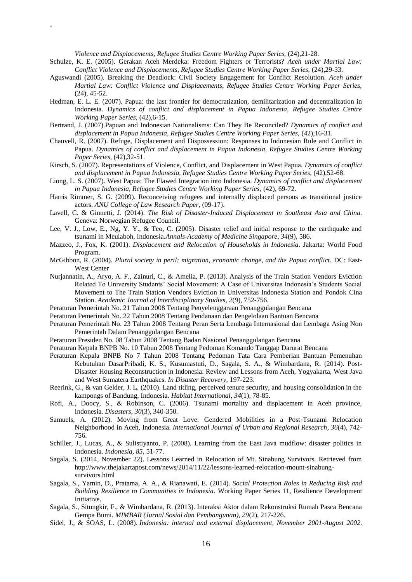*Violence and Displacements, Refugee Studies Centre Working Paper Series, (24),21-28.* 

`

- Schulze, K. E. (2005). Gerakan Aceh Merdeka: Freedom Fighters or Terrorists? *Aceh under Martial Law: Conflict Violence and Displacements, Refugee Studies Centre Working Paper Series,* (24),29-33.
- Aguswandi (2005). Breaking the Deadlock: Civil Society Engagement for Conflict Resolution. *Aceh under Martial Law: Conflict Violence and Displacements, Refugee Studies Centre Working Paper Series,*  (24)*,* 45-52.
- Hedman, E. L. E. (2007). Papua: the last frontier for democratization, demilitarization and decentralization in Indonesia. *Dynamics of conflict and displacement in Papua Indonesia, Refugee Studies Centre Working Paper Series,* (42),6-15.
- Bertrand, J. (2007).Papuan and Indonesian Nationalisms: Can They Be Reconciled? *Dynamics of conflict and*  displacement in Papua Indonesia, Refugee Studies Centre Working Paper Series, (42),16-31.
- Chauvell, R. (2007). Refuge, Displacement and Dispossession: Responses to Indonesian Rule and Conflict in Papua. *Dynamics of conflict and displacement in Papua Indonesia, Refugee Studies Centre Working Paper Series,* (42),32-51.
- Kirsch, S. (2007). Representations of Violence, Conflict, and Displacement in West Papua. *Dynamics of conflict and displacement in Papua Indonesia, Refugee Studies Centre Working Paper Series,* (42),52-68.
- Liong, L. S. (2007). West Papua: The Flawed Integration into Indonesia. *Dynamics of conflict and displacement in Papua Indonesia, Refugee Studies Centre Working Paper Series,* (42)*,* 69-72.
- Harris Rimmer, S. G. (2009). Reconceiving refugees and internally displaced persons as transitional justice actors. *ANU College of Law Research Paper*, (09-17).
- Lavell, C. & Ginnetti, J. (2014). *The Risk of Disaster-Induced Displacement in Southeast Asia and China.*  Geneva: Norwegian Refugee Council.
- Lee, V. J., Low, E., Ng, Y. Y., & Teo, C. (2005). Disaster relief and initial response to the earthquake and tsunami in Meulaboh, Indonesia.*Annals-Academy of Medicine Singapore*, *34*(9), 586.
- Mazzeo, J., Fox, K. (2001). *Displacement and Relocation of Households in Indonesia*. Jakarta: World Food Program.
- McGibbon, R. (2004). *Plural society in peril: migration, economic change, and the Papua conflict.* DC: East-West Center
- Nurjannatin, A., Aryo, A. F., Zainuri, C., & Amelia, P. (2013). Analysis of the Train Station Vendors Eviction Related To University Students' Social Movement: A Case of Universitas Indonesia's Students Social Movement to The Train Station Vendors Eviction in Universitas Indonesia Station and Pondok Cina Station. *Academic Journal of Interdisciplinary Studies*, *2*(9), 752-756.
- Peraturan Pemerintah No. 21 Tahun 2008 Tentang Penyelenggaraan Penanggulangan Bencana
- Peraturan Pemerintah No. 22 Tahun 2008 Tentang Pendanaan dan Pengelolaan Bantuan Bencana
- Peraturan Pemerintah No. 23 Tahun 2008 Tentang Peran Serta Lembaga Internasional dan Lembaga Asing Non Pemerintah Dalam Penanggulangan Bencana
- Peraturan Presiden No. 08 Tahun 2008 Tentang Badan Nasional Penanggulangan Bencana
- Peraturan Kepala BNPB No. 10 Tahun 2008 Tentang Pedoman Komando Tanggap Darurat Bencana
- Peraturan Kepala BNPB No 7 Tahun 2008 Tentang Pedoman Tata Cara Pemberian Bantuan Pemenuhan Kebutuhan DasarPribadi, K. S., Kusumastuti, D., Sagala, S. A., & Wimbardana, R. (2014). Post-Disaster Housing Reconstruction in Indonesia: Review and Lessons from Aceh, Yogyakarta, West Java and West Sumatera Earthquakes. *In Disaster Recovery*, 197-223.
- Reerink, G., & van Gelder, J. L. (2010). Land titling, perceived tenure security, and housing consolidation in the kampongs of Bandung, Indonesia. *Habitat International*, *34*(1), 78-85.
- Rofi, A., Doocy, S., & Robinson, C. (2006). Tsunami mortality and displacement in Aceh province, Indonesia. *Disasters*, *30*(3), 340-350.
- Samuels, A. (2012). Moving from Great Love: Gendered Mobilities in a Post-Tsunami Relocation Neighborhood in Aceh, Indonesia. *International Journal of Urban and Regional Research*, *36*(4), 742- 756.
- Schiller, J., Lucas, A., & Sulistiyanto, P. (2008). Learning from the East Java mudflow: disaster politics in Indonesia. *Indonesia, 85*, 51-77.
- Sagala, S. (2014, November 22). Lessons Learned in Relocation of Mt. Sinabung Survivors. Retrieved from http://www.thejakartapost.com/news/2014/11/22/lessons-learned-relocation-mount-sinabungsurvivors.html
- Sagala, S., Yamin, D., Pratama, A. A., & Rianawati, E. (2014). *Social Protection Roles in Reducing Risk and Building Resilience to Communities in Indonesia.* Working Paper Series 11, Resilience Development Initiative.
- Sagala, S., Situngkir, F., & Wimbardana, R. (2013). Interaksi Aktor dalam Rekonstruksi Rumah Pasca Bencana Gempa Bumi. *MIMBAR (Jurnal Sosial dan Pembangunan), 29*(2), 217-226.
- Sidel, J., & SOAS, L. (2008). *Indonesia: internal and external displacement, November 2001-August 2002*.